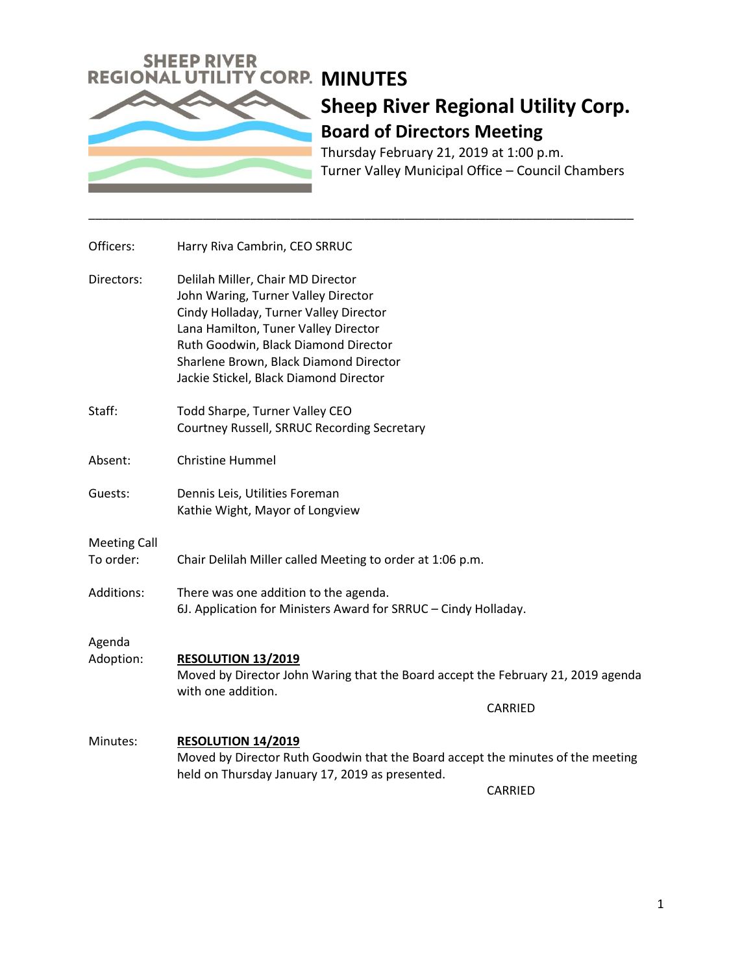

Thursday February 21, 2019 at 1:00 p.m. Turner Valley Municipal Office – Council Chambers

| Officers:                        | Harry Riva Cambrin, CEO SRRUC                                                                                                                                                                                                                                                          |  |  |
|----------------------------------|----------------------------------------------------------------------------------------------------------------------------------------------------------------------------------------------------------------------------------------------------------------------------------------|--|--|
| Directors:                       | Delilah Miller, Chair MD Director<br>John Waring, Turner Valley Director<br>Cindy Holladay, Turner Valley Director<br>Lana Hamilton, Tuner Valley Director<br>Ruth Goodwin, Black Diamond Director<br>Sharlene Brown, Black Diamond Director<br>Jackie Stickel, Black Diamond Director |  |  |
| Staff:                           | Todd Sharpe, Turner Valley CEO<br>Courtney Russell, SRRUC Recording Secretary                                                                                                                                                                                                          |  |  |
| Absent:                          | <b>Christine Hummel</b>                                                                                                                                                                                                                                                                |  |  |
| Guests:                          | Dennis Leis, Utilities Foreman<br>Kathie Wight, Mayor of Longview                                                                                                                                                                                                                      |  |  |
| <b>Meeting Call</b><br>To order: | Chair Delilah Miller called Meeting to order at 1:06 p.m.                                                                                                                                                                                                                              |  |  |
| Additions:                       | There was one addition to the agenda.<br>6J. Application for Ministers Award for SRRUC - Cindy Holladay.                                                                                                                                                                               |  |  |
| Agenda<br>Adoption:              | <b>RESOLUTION 13/2019</b><br>Moved by Director John Waring that the Board accept the February 21, 2019 agenda<br>with one addition.                                                                                                                                                    |  |  |
|                                  | <b>CARRIED</b>                                                                                                                                                                                                                                                                         |  |  |
| Minutes:                         | <b>RESOLUTION 14/2019</b><br>Moved by Director Ruth Goodwin that the Board accept the minutes of the meeting<br>held on Thursday January 17, 2019 as presented.                                                                                                                        |  |  |
|                                  | <b>CARRIED</b>                                                                                                                                                                                                                                                                         |  |  |

\_\_\_\_\_\_\_\_\_\_\_\_\_\_\_\_\_\_\_\_\_\_\_\_\_\_\_\_\_\_\_\_\_\_\_\_\_\_\_\_\_\_\_\_\_\_\_\_\_\_\_\_\_\_\_\_\_\_\_\_\_\_\_\_\_\_\_\_\_\_\_\_\_\_\_\_\_\_\_\_\_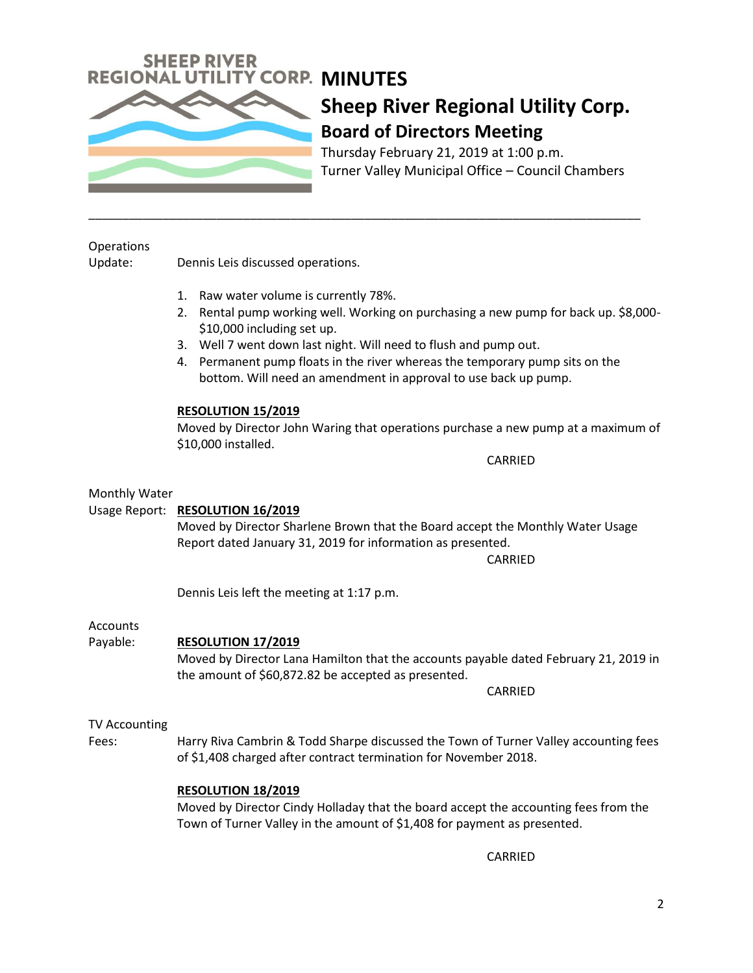

Thursday February 21, 2019 at 1:00 p.m. Turner Valley Municipal Office – Council Chambers

#### **Operations**

Update: Dennis Leis discussed operations.

- 1. Raw water volume is currently 78%.
- 2. Rental pump working well. Working on purchasing a new pump for back up. \$8,000- \$10,000 including set up.
- 3. Well 7 went down last night. Will need to flush and pump out.

\_\_\_\_\_\_\_\_\_\_\_\_\_\_\_\_\_\_\_\_\_\_\_\_\_\_\_\_\_\_\_\_\_\_\_\_\_\_\_\_\_\_\_\_\_\_\_\_\_\_\_\_\_\_\_\_\_\_\_\_\_\_\_\_\_\_\_\_\_\_\_\_\_\_\_\_\_\_\_\_\_\_

4. Permanent pump floats in the river whereas the temporary pump sits on the bottom. Will need an amendment in approval to use back up pump.

#### **RESOLUTION 15/2019**

Moved by Director John Waring that operations purchase a new pump at a maximum of \$10,000 installed.

CARRIED

#### Monthly Water

#### Usage Report: **RESOLUTION 16/2019**

Moved by Director Sharlene Brown that the Board accept the Monthly Water Usage Report dated January 31, 2019 for information as presented.

CARRIED

Dennis Leis left the meeting at 1:17 p.m.

#### **Accounts**

#### Payable: **RESOLUTION 17/2019**

Moved by Director Lana Hamilton that the accounts payable dated February 21, 2019 in the amount of \$60,872.82 be accepted as presented.

CARRIED

#### TV Accounting

Fees: Harry Riva Cambrin & Todd Sharpe discussed the Town of Turner Valley accounting fees of \$1,408 charged after contract termination for November 2018.

#### **RESOLUTION 18/2019**

Moved by Director Cindy Holladay that the board accept the accounting fees from the Town of Turner Valley in the amount of \$1,408 for payment as presented.

CARRIED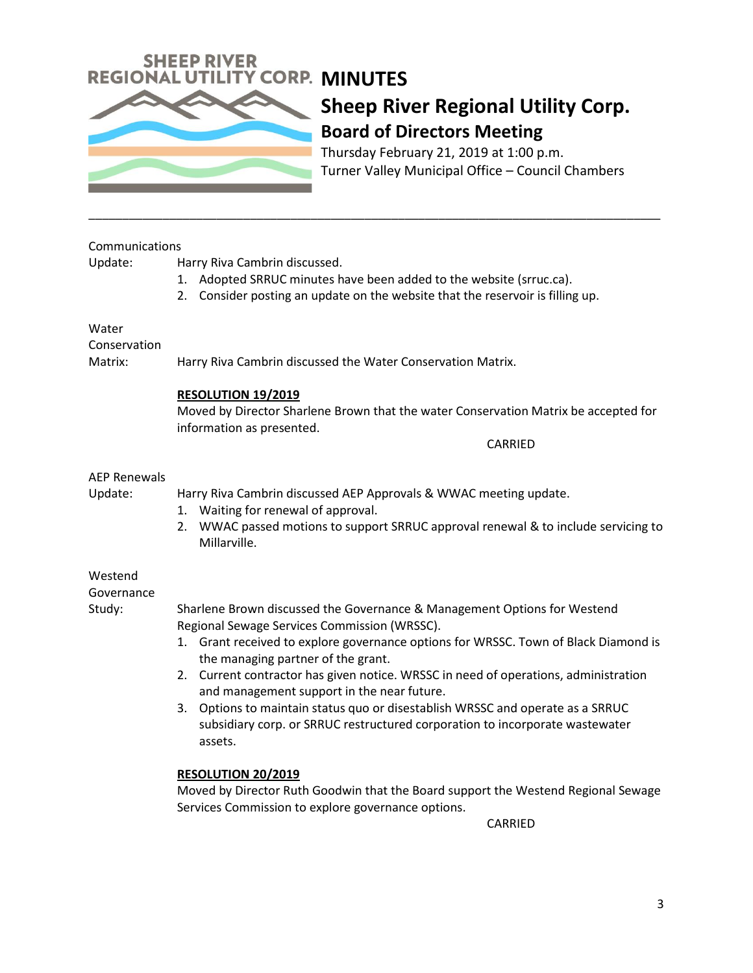

Thursday February 21, 2019 at 1:00 p.m. Turner Valley Municipal Office – Council Chambers

| Communications |          |  |
|----------------|----------|--|
| Update:        | Harry Ri |  |
|                | 1. Ado   |  |

va Cambrin discussed.

pted SRRUC minutes have been added to the website (srruc.ca).

\_\_\_\_\_\_\_\_\_\_\_\_\_\_\_\_\_\_\_\_\_\_\_\_\_\_\_\_\_\_\_\_\_\_\_\_\_\_\_\_\_\_\_\_\_\_\_\_\_\_\_\_\_\_\_\_\_\_\_\_\_\_\_\_\_\_\_\_\_\_\_\_\_\_\_\_\_\_\_\_\_\_\_\_\_

2. Consider posting an update on the website that the reservoir is filling up.

#### Water

Conservation

Matrix: Harry Riva Cambrin discussed the Water Conservation Matrix.

#### **RESOLUTION 19/2019**

Moved by Director Sharlene Brown that the water Conservation Matrix be accepted for information as presented.

CARRIED

#### AEP Renewals

Update: Harry Riva Cambrin discussed AEP Approvals & WWAC meeting update.

- 1. Waiting for renewal of approval.
- 2. WWAC passed motions to support SRRUC approval renewal & to include servicing to Millarville.

#### Westend

Governance

- Study: Sharlene Brown discussed the Governance & Management Options for Westend Regional Sewage Services Commission (WRSSC).
	- 1. Grant received to explore governance options for WRSSC. Town of Black Diamond is the managing partner of the grant.
	- 2. Current contractor has given notice. WRSSC in need of operations, administration and management support in the near future.
	- 3. Options to maintain status quo or disestablish WRSSC and operate as a SRRUC subsidiary corp. or SRRUC restructured corporation to incorporate wastewater assets.

#### **RESOLUTION 20/2019**

Moved by Director Ruth Goodwin that the Board support the Westend Regional Sewage Services Commission to explore governance options.

CARRIED